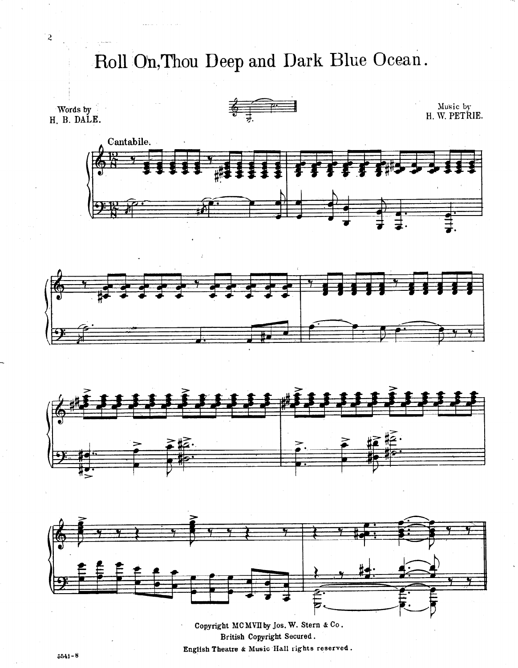Roll On, Thou Deep and Dark Blue Ocean.







Copyright MCMVII by Jos. W. Stern & Co. British Copyright Secured. English Theatre & Music Hall rights reserved.

'2

.

 $5541 - 8$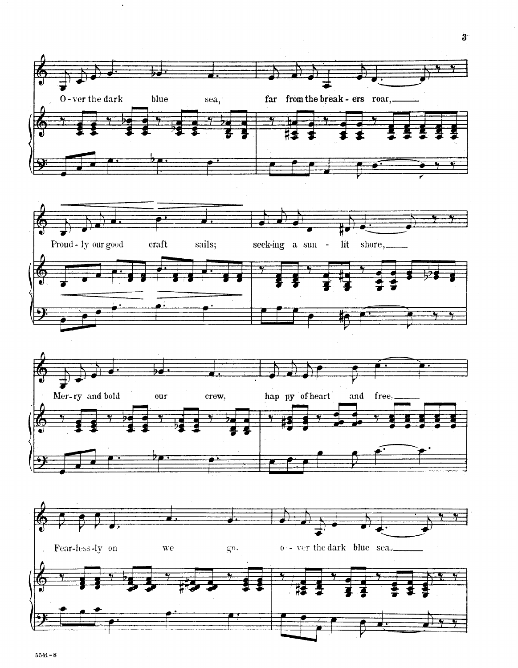

 $\ddot{\bullet}$ 

 $5541 - 8$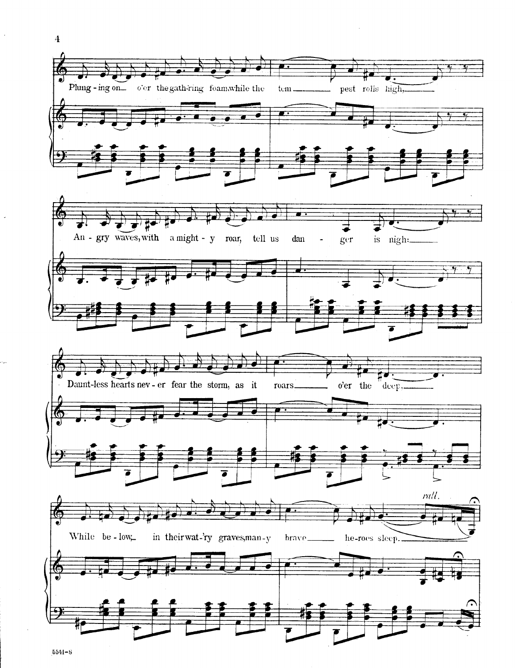

 $5541 - 8$ 

 $\overline{\mathbf{4}}$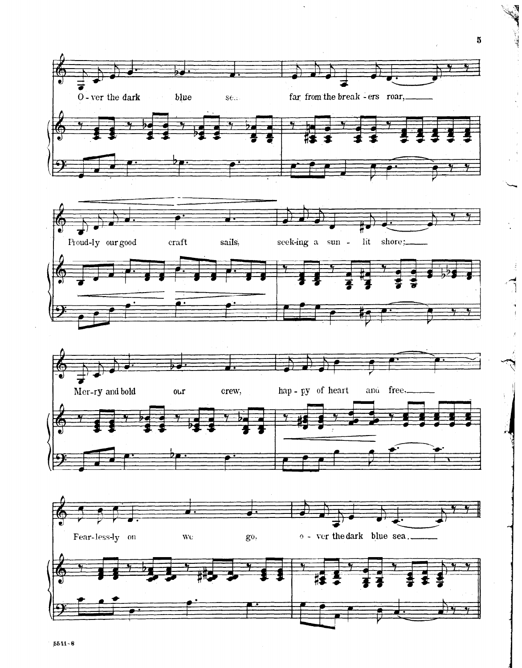

 $\hat{\phantom{a}}$ 

 $\sim$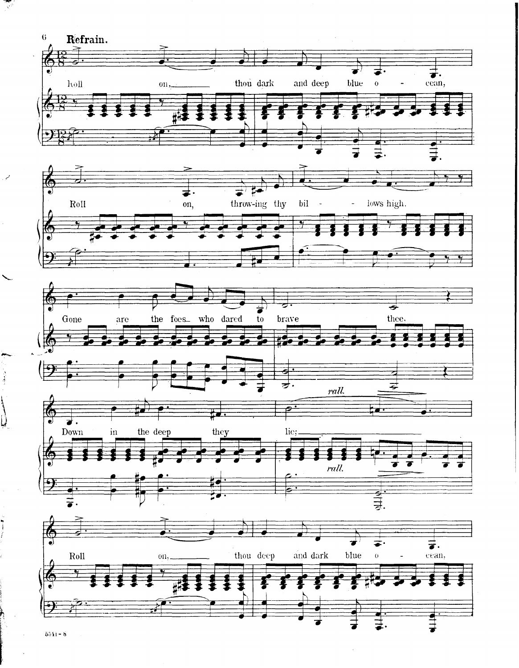

 $5541 - 8$ 

स्त्रहरू<br>अर्थ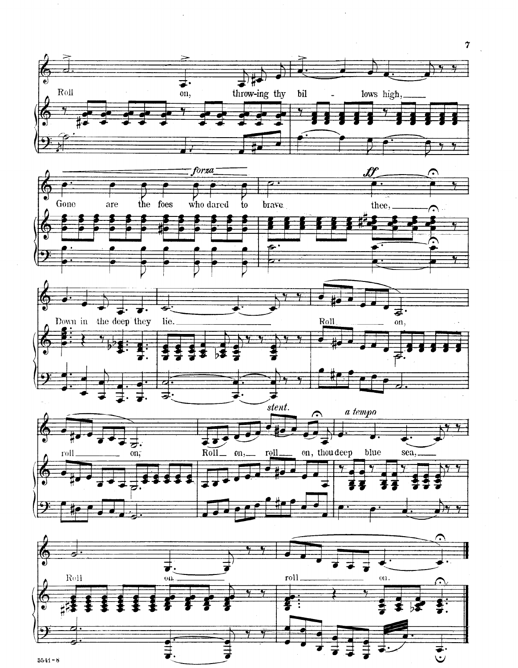

 $5541 - 8$ 

 $\pmb{\gamma}$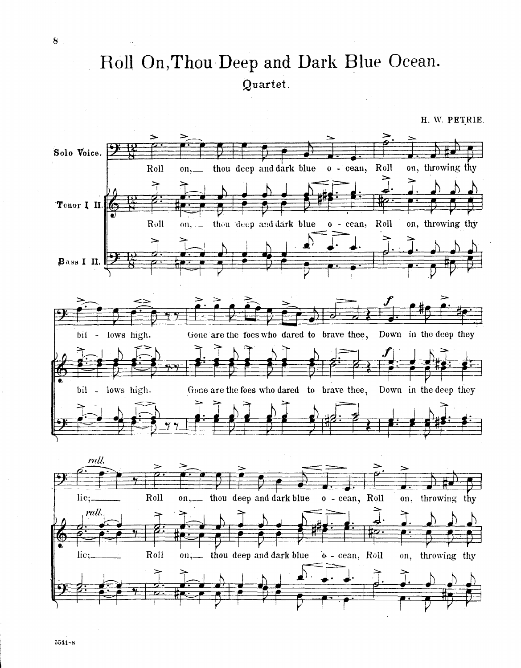## Roll On, Thou Deep and Dark Blue Ocean. Quartet.

H. W. PETRIE. Solo Voice. on, throwing thy thou deep and dark blue o - cean, Roll Roll  $01, \triangleright$ 'Tenor 1 II. Roll on. thou deep and dark blue o - cean, Roll on, throwing thy  $\mathbf{r}$  $\beta$ ass I II. bil - lows high. Gone are the foes who dared to brave thee, Down in the deep they bil - lows high. Gone are the foes who dared to brave thee, Down in the deep they rull. lie;. Roll on, thou deep and dark blue o - cean, Roll on, throwing thy rall. Roll thou deep and dark blue o - cean, Roll lie: on, throwing thy on,